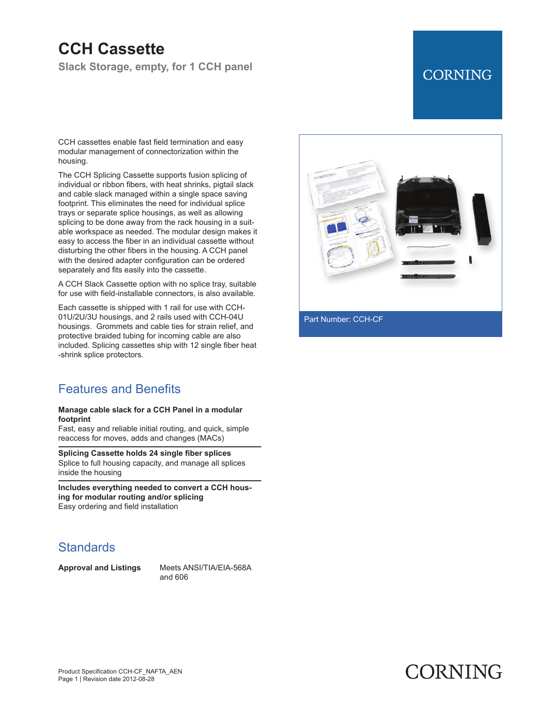# **CCH Cassette**

**Slack Storage, empty, for 1 CCH panel**

## **CORNING**

CCH cassettes enable fast field termination and easy modular management of connectorization within the housing.

The CCH Splicing Cassette supports fusion splicing of individual or ribbon fibers, with heat shrinks, pigtail slack and cable slack managed within a single space saving footprint. This eliminates the need for individual splice trays or separate splice housings, as well as allowing splicing to be done away from the rack housing in a suitable workspace as needed. The modular design makes it easy to access the fiber in an individual cassette without disturbing the other fibers in the housing. A CCH panel with the desired adapter configuration can be ordered separately and fits easily into the cassette.

A CCH Slack Cassette option with no splice tray, suitable for use with field-installable connectors, is also available.

Each cassette is shipped with 1 rail for use with CCH-01U/2U/3U housings, and 2 rails used with CCH-04U housings. Grommets and cable ties for strain relief, and protective braided tubing for incoming cable are also included. Splicing cassettes ship with 12 single fiber heat -shrink splice protectors.

### Features and Benefits

#### **Manage cable slack for a CCH Panel in a modular footprint**

Fast, easy and reliable initial routing, and quick, simple reaccess for moves, adds and changes (MACs)

**Splicing Cassette holds 24 single fiber splices** Splice to full housing capacity, and manage all splices inside the housing

**Includes everything needed to convert a CCH housing for modular routing and/or splicing** Easy ordering and field installation

### **Standards**

**Approval and Listings** Meets ANSI/TIA/EIA-568A and 606